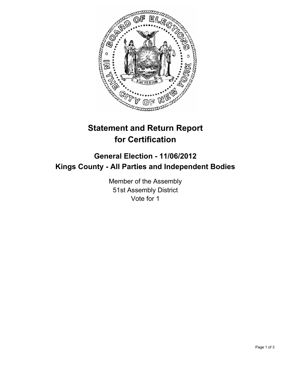

## **Statement and Return Report for Certification**

## **General Election - 11/06/2012 Kings County - All Parties and Independent Bodies**

Member of the Assembly 51st Assembly District Vote for 1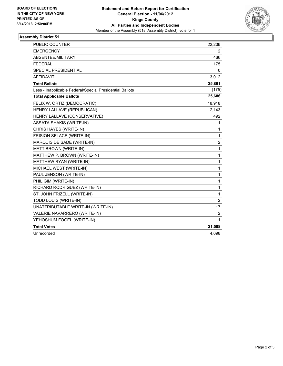

## **Assembly District 51**

| <b>PUBLIC COUNTER</b>                                    | 22,206         |
|----------------------------------------------------------|----------------|
| <b>EMERGENCY</b>                                         | 2              |
| ABSENTEE/MILITARY                                        | 466            |
| <b>FEDERAL</b>                                           | 175            |
| <b>SPECIAL PRESIDENTIAL</b>                              | 0              |
| <b>AFFIDAVIT</b>                                         | 3,012          |
| <b>Total Ballots</b>                                     | 25,861         |
| Less - Inapplicable Federal/Special Presidential Ballots | (175)          |
| <b>Total Applicable Ballots</b>                          | 25,686         |
| FELIX W. ORTIZ (DEMOCRATIC)                              | 18,918         |
| HENRY LALLAVE (REPUBLICAN)                               | 2,143          |
| HENRY LALLAVE (CONSERVATIVE)                             | 492            |
| <b>ASSATA SHAKIS (WRITE-IN)</b>                          | 1              |
| CHRIS HAYES (WRITE-IN)                                   | 1              |
| FRISION SELACE (WRITE-IN)                                | $\mathbf{1}$   |
| MARQUIS DE SADE (WRITE-IN)                               | $\overline{2}$ |
| MATT BROWN (WRITE-IN)                                    | $\mathbf{1}$   |
| MATTHEW P. BROWN (WRITE-IN)                              | 1              |
| MATTHEW RYAN (WRITE-IN)                                  | 1              |
| MICHAEL WEST (WRITE-IN)                                  | 1              |
| PAUL JENSON (WRITE-IN)                                   | 1              |
| PHIL GIM (WRITE-IN)                                      | 1              |
| RICHARD RODRIGUEZ (WRITE-IN)                             | 1              |
| ST. JOHN FRIZELL (WRITE-IN)                              | 1              |
| TODD LOUIS (WRITE-IN)                                    | $\overline{2}$ |
| UNATTRIBUTABLE WRITE-IN (WRITE-IN)                       | 17             |
| VALERIE NAVARRERO (WRITE-IN)                             | $\overline{c}$ |
| YEHOSHUM FOGEL (WRITE-IN)                                | 1              |
| <b>Total Votes</b>                                       | 21,588         |
| Unrecorded                                               | 4,098          |